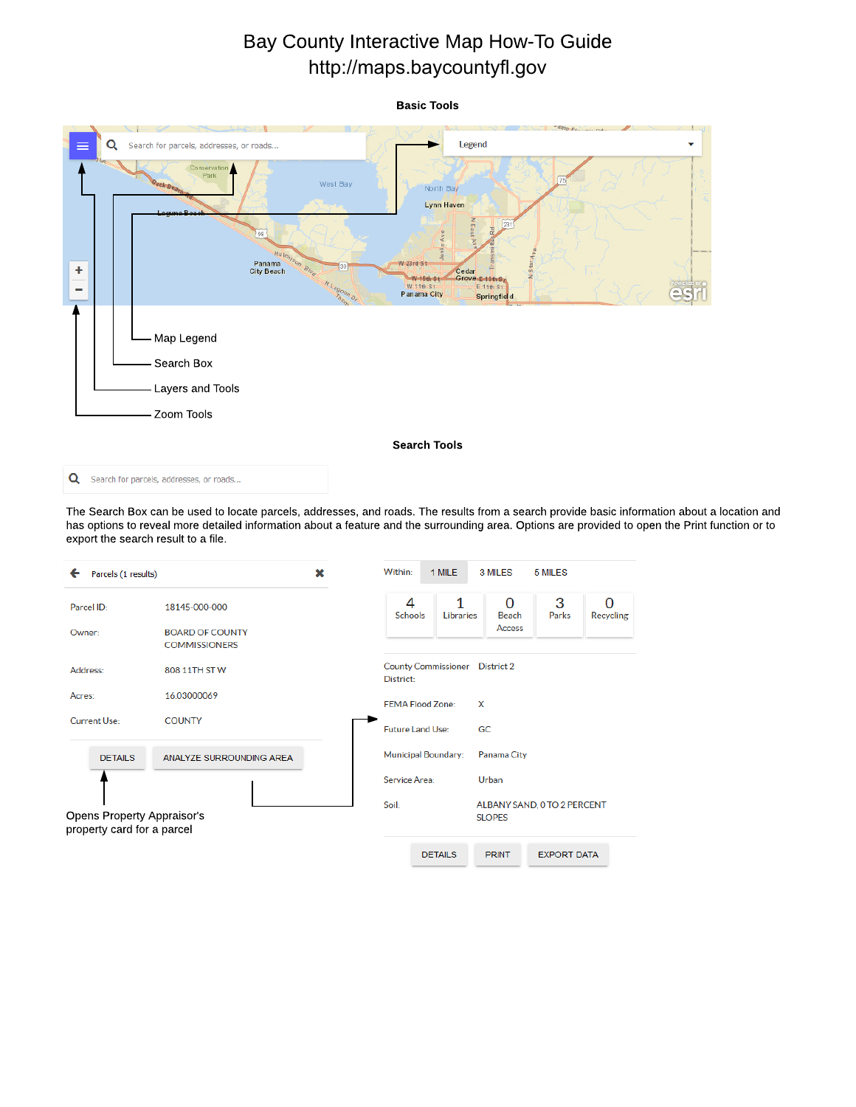## Bay County Interactive Map How-To Guide http://maps.baycountyfl.gov



The Search Box can be used to locate parcels, addresses, and roads. The results from a search provide basic information about a location and has options to reveal more detailed information about a feature and the surrounding area. Options are provided to open the Print function or to export the search result to a file.

| Parcels (1 results)<br>←                                 |                                                | × | Within:             | 1 MILE                         |   | 3 MILES                                      | 5 MILES            |                       |  |
|----------------------------------------------------------|------------------------------------------------|---|---------------------|--------------------------------|---|----------------------------------------------|--------------------|-----------------------|--|
| Parcel ID:                                               | 18145-000-000                                  |   | 4<br><b>Schools</b> | 1<br>Libraries                 |   | 0<br>Beach                                   | 3<br>Parks         | ∩<br><b>Recycling</b> |  |
| Owner:                                                   | <b>BOARD OF COUNTY</b><br><b>COMMISSIONERS</b> |   |                     |                                |   | Access                                       |                    |                       |  |
| Address:                                                 | 808 11TH STW                                   |   | District:           | County Commissioner District 2 |   |                                              |                    |                       |  |
| Acres:                                                   | 16.03000069                                    |   |                     | <b>FEMA Flood Zone:</b>        | X |                                              |                    |                       |  |
| Current Use:                                             | <b>COUNTY</b>                                  |   | Future Land Use:    |                                |   | GC.                                          |                    |                       |  |
| <b>DETAILS</b>                                           | ANALYZE SURROUNDING AREA                       |   |                     | Municipal Boundary:            |   | Panama City                                  |                    |                       |  |
|                                                          |                                                |   | Service Area:       |                                |   | Urban                                        |                    |                       |  |
| Opens Property Appraisor's<br>property card for a parcel |                                                |   | Soil:               |                                |   | ALBANY SAND, O TO 2 PERCENT<br><b>SLOPES</b> |                    |                       |  |
|                                                          |                                                |   |                     | <b>DETAILS</b>                 |   | <b>PRINT</b>                                 | <b>EXPORT DATA</b> |                       |  |